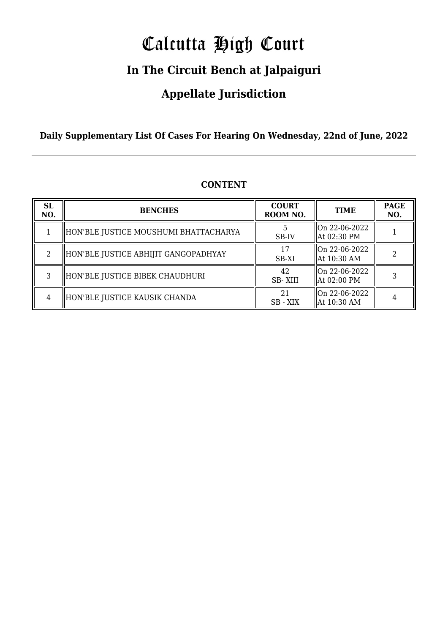# Calcutta High Court

### **In The Circuit Bench at Jalpaiguri**

### **Appellate Jurisdiction**

**Daily Supplementary List Of Cases For Hearing On Wednesday, 22nd of June, 2022**

| <b>SL</b><br>NO. | <b>BENCHES</b>                        | <b>COURT</b><br>ROOM NO. | <b>TIME</b>                              | <b>PAGE</b><br>NO. |
|------------------|---------------------------------------|--------------------------|------------------------------------------|--------------------|
|                  | HON'BLE JUSTICE MOUSHUMI BHATTACHARYA | SB-IV                    | On 22-06-2022<br>  At 02:30 PM           |                    |
| റ                | HON'BLE JUSTICE ABHIJIT GANGOPADHYAY  | 17<br>SB-XI              | On 22-06-2022<br>$\parallel$ At 10:30 AM |                    |
| 3                | HON'BLE JUSTICE BIBEK CHAUDHURI       | 42<br>SB-XIII            | On 22-06-2022<br>  At 02:00 PM           |                    |
| 4                | HON'BLE JUSTICE KAUSIK CHANDA         | 2.1<br>SB - XIX          | $\lfloor$ On 22-06-2022<br>  At 10:30 AM |                    |

#### **CONTENT**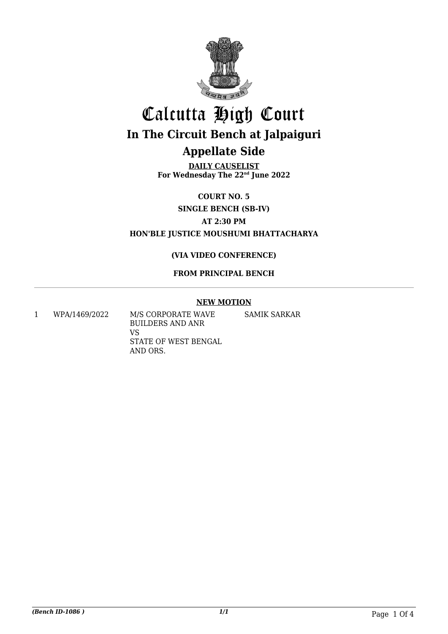

**DAILY CAUSELIST For Wednesday The 22nd June 2022**

**COURT NO. 5**

**SINGLE BENCH (SB-IV)**

**AT 2:30 PM**

**HON'BLE JUSTICE MOUSHUMI BHATTACHARYA**

#### **(VIA VIDEO CONFERENCE)**

#### **FROM PRINCIPAL BENCH**

#### **NEW MOTION**

1 WPA/1469/2022 M/S CORPORATE WAVE BUILDERS AND ANR VS STATE OF WEST BENGAL AND ORS. SAMIK SARKAR

*(Bench ID-1086 ) 1/1* Page 1 Of 4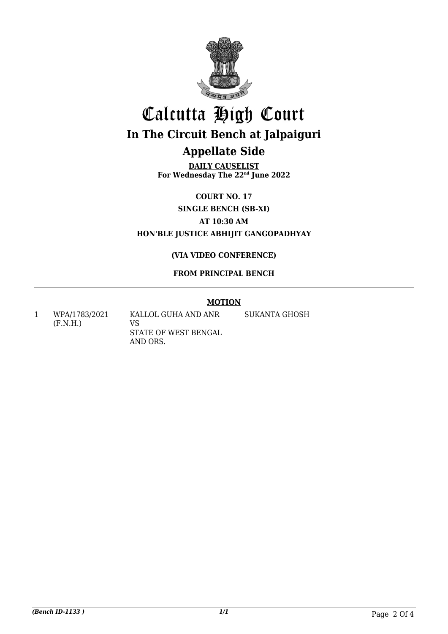

**DAILY CAUSELIST For Wednesday The 22nd June 2022**

**COURT NO. 17**

**SINGLE BENCH (SB-XI)**

**AT 10:30 AM**

**HON'BLE JUSTICE ABHIJIT GANGOPADHYAY**

#### **(VIA VIDEO CONFERENCE)**

#### **FROM PRINCIPAL BENCH**

#### **MOTION**

1 WPA/1783/2021 (F.N.H.)

KALLOL GUHA AND ANR VS STATE OF WEST BENGAL AND ORS.

SUKANTA GHOSH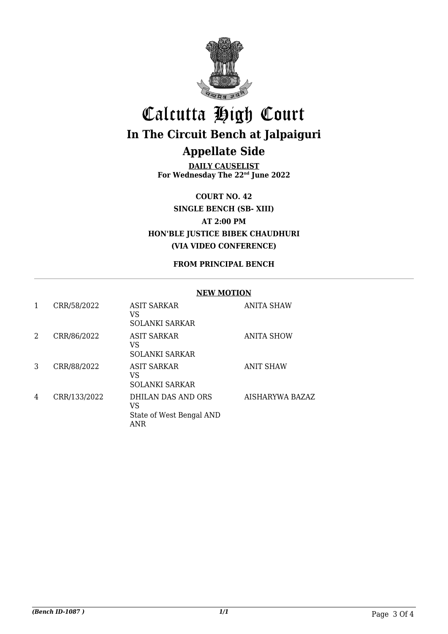

**DAILY CAUSELIST For Wednesday The 22nd June 2022**

**COURT NO. 42 SINGLE BENCH (SB- XIII) AT 2:00 PM HON'BLE JUSTICE BIBEK CHAUDHURI (VIA VIDEO CONFERENCE)**

#### **FROM PRINCIPAL BENCH**

#### **NEW MOTION**

| 1 | CRR/58/2022  | ASIT SARKAR<br>VS<br><b>SOLANKI SARKAR</b>                         | <b>ANITA SHAW</b> |
|---|--------------|--------------------------------------------------------------------|-------------------|
| 2 | CRR/86/2022  | <b>ASIT SARKAR</b><br>VS<br><b>SOLANKI SARKAR</b>                  | <b>ANITA SHOW</b> |
| 3 | CRR/88/2022  | ASIT SARKAR<br>VS<br><b>SOLANKI SARKAR</b>                         | <b>ANIT SHAW</b>  |
| 4 | CRR/133/2022 | DHILAN DAS AND ORS<br>VS<br>State of West Bengal AND<br><b>ANR</b> | AISHARYWA BAZAZ   |